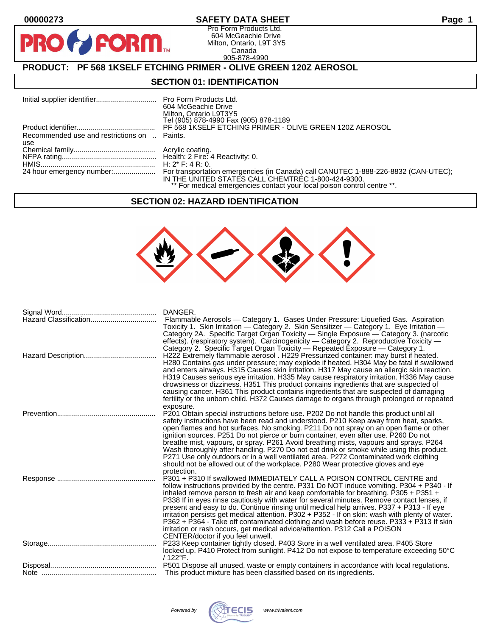$\bullet$ 

**PIP** 

#### **00000273 SAFETY DATA SHEET Page 1**

Pro Form Products Ltd. 604 McGeachie Drive Milton, Ontario, L9T 3Y5 Canada 905-878-4990

# **PRODUCT: PF 568 1KSELF ETCHING PRIMER - OLIVE GREEN 120Z AEROSOL**

**FORM** 

#### **SECTION 01: IDENTIFICATION**

|                                                     | 604 McGeachie Drive<br>Milton, Ontario L9T3Y5<br>Tel (905) 878-4990 Fax (905) 878-1189                                        |
|-----------------------------------------------------|-------------------------------------------------------------------------------------------------------------------------------|
|                                                     | PF 568 1KSELF ETCHING PRIMER - OLIVE GREEN 120Z AEROSOL                                                                       |
| Recommended use and restrictions on  Paints.<br>use |                                                                                                                               |
|                                                     |                                                                                                                               |
|                                                     |                                                                                                                               |
|                                                     | IN THE UNITED STATES CALL CHEMTREC 1-800-424-9300.<br>** For medical emergencies contact your local poison control centre **. |

#### **SECTION 02: HAZARD IDENTIFICATION**



| DANGER.<br>Flammable Aerosols — Category 1. Gases Under Pressure: Liquefied Gas. Aspiration<br>Toxicity 1. Skin Irritation - Category 2. Skin Sensitizer - Category 1. Eye Irritation -<br>Category 2A. Specific Target Organ Toxicity - Single Exposure - Category 3. (narcotic<br>effects). (respiratory system). Carcinogenicity - Category 2. Reproductive Toxicity -                                                                                                                                                                                                                                                                                                                                                                                  |
|------------------------------------------------------------------------------------------------------------------------------------------------------------------------------------------------------------------------------------------------------------------------------------------------------------------------------------------------------------------------------------------------------------------------------------------------------------------------------------------------------------------------------------------------------------------------------------------------------------------------------------------------------------------------------------------------------------------------------------------------------------|
| Category 2. Specific Target Organ Toxicity - Repeated Exposure - Category 1.<br>H222 Extremely flammable aerosol . H229 Pressurized container: may burst if heated.<br>H280 Contains gas under pressure; may explode if heated. H304 May be fatal if swallowed<br>and enters airways. H315 Causes skin irritation. H317 May cause an allergic skin reaction.<br>H319 Causes serious eye irritation. H335 May cause respiratory irritation. H336 May cause<br>drowsiness or dizziness. H351 This product contains ingredients that are suspected of<br>causing cancer. H361 This product contains ingredients that are suspected of damaging<br>fertility or the unborn child. H372 Causes damage to organs through prolonged or repeated                   |
| exposure.<br>P201 Obtain special instructions before use. P202 Do not handle this product until all<br>safety instructions have been read and understood. P210 Keep away from heat, sparks,<br>open flames and hot surfaces. No smoking. P211 Do not spray on an open flame or other<br>ignition sources. P251 Do not pierce or burn container, even after use. P260 Do not<br>breathe mist, vapours, or spray. P261 Avoid breathing mists, vapours and sprays. P264<br>Wash thoroughly after handling. P270 Do not eat drink or smoke while using this product.<br>P271 Use only outdoors or in a well ventilated area. P272 Contaminated work clothing<br>should not be allowed out of the workplace. P280 Wear protective gloves and eye<br>protection. |
| P301 + P310 If swallowed IMMEDIATELY CALL A POISON CONTROL CENTRE and<br>follow instructions provided by the centre. P331 Do NOT induce vomiting. P304 + P340 - If<br>inhaled remove person to fresh air and keep comfortable for breathing. P305 + P351 +<br>P338 If in eyes rinse cautiously with water for several minutes. Remove contact lenses, if<br>present and easy to do. Continue rinsing until medical help arrives. P337 + P313 - If eye<br>irritation persists get medical attention. P302 + P352 - If on skin: wash with plenty of water.<br>P362 + P364 - Take off contaminated clothing and wash before reuse. P333 + P313 If skin<br>irritation or rash occurs, get medical advice/attention. P312 Call a POISON                         |
| CENTER/doctor if you feel unwell.<br>P233 Keep container tightly closed. P403 Store in a well ventilated area. P405 Store<br>locked up. P410 Protect from sunlight. P412 Do not expose to temperature exceeding 50°C<br>/ 122°F.                                                                                                                                                                                                                                                                                                                                                                                                                                                                                                                           |
| This product mixture has been classified based on its ingredients.                                                                                                                                                                                                                                                                                                                                                                                                                                                                                                                                                                                                                                                                                         |

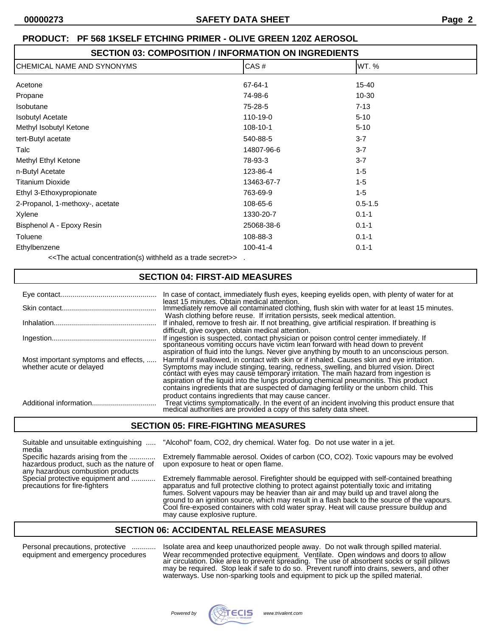#### **SECTION 03: COMPOSITION / INFORMATION ON INGREDIENTS**

| CHEMICAL NAME AND SYNONYMS                                            | CAS#           | WT.%        |  |  |
|-----------------------------------------------------------------------|----------------|-------------|--|--|
| Acetone                                                               | 67-64-1        | 15-40       |  |  |
| Propane                                                               | 74-98-6        | $10 - 30$   |  |  |
| Isobutane                                                             | 75-28-5        | $7 - 13$    |  |  |
| <b>Isobutyl Acetate</b>                                               | 110-19-0       | $5 - 10$    |  |  |
| Methyl Isobutyl Ketone                                                | 108-10-1       | $5 - 10$    |  |  |
| tert-Butyl acetate                                                    | 540-88-5       | $3 - 7$     |  |  |
| Talc                                                                  | 14807-96-6     | $3 - 7$     |  |  |
| Methyl Ethyl Ketone                                                   | 78-93-3        | $3 - 7$     |  |  |
| n-Butyl Acetate                                                       | 123-86-4       | $1 - 5$     |  |  |
| <b>Titanium Dioxide</b>                                               | 13463-67-7     | $1 - 5$     |  |  |
| Ethyl 3-Ethoxypropionate                                              | 763-69-9       | $1 - 5$     |  |  |
| 2-Propanol, 1-methoxy-, acetate                                       | 108-65-6       | $0.5 - 1.5$ |  |  |
| Xylene                                                                | 1330-20-7      | $0.1 - 1$   |  |  |
| Bisphenol A - Epoxy Resin                                             | 25068-38-6     | $0.1 - 1$   |  |  |
| Toluene                                                               | 108-88-3       | $0.1 - 1$   |  |  |
| Ethylbenzene                                                          | $100 - 41 - 4$ | $0.1 - 1$   |  |  |
| The estual experimental $(\bullet)$ with bald as a trade as a series. |                |             |  |  |

<<The actual concentration(s) withheld as a trade secret>> .

#### **SECTION 04: FIRST-AID MEASURES**

|                                                                  | In case of contact, immediately flush eyes, keeping eyelids open, with plenty of water for at                                                                                                                                                                                                                                                                                                                                                             |
|------------------------------------------------------------------|-----------------------------------------------------------------------------------------------------------------------------------------------------------------------------------------------------------------------------------------------------------------------------------------------------------------------------------------------------------------------------------------------------------------------------------------------------------|
|                                                                  | least 15 minutes. Obtain medical attention.<br>Immediately remove all contaminated clothing, flush skin with water for at least 15 minutes.                                                                                                                                                                                                                                                                                                               |
|                                                                  | Wash clothing before reuse. If irritation persists, seek medical attention.<br>If inhaled, remove to fresh air. If not breathing, give artificial respiration. If breathing is                                                                                                                                                                                                                                                                            |
|                                                                  | difficult, give oxygen, obtain medical attention.<br>If ingestion is suspected, contact physician or poison control center immediately. If spontaneous vomiting occurs have victim lean forward with head down to prevent<br>aspiration of fluid into the lungs. Never give anything by mouth to an unconscious person.                                                                                                                                   |
| Most important symptoms and effects,<br>whether acute or delayed | Harmful if swallowed, in contact with skin or if inhaled. Causes skin and eye irritation.<br>Symptoms may include stinging, tearing, redness, swelling, and blurred vision. Direct contact with eyes may cause temporary irritation. The main hazard from ingestion is<br>aspiration of the liquid into the lungs producing chemical pneumonitis. This product<br>contains ingredients that are suspected of damaging fertility or the unborn child. This |
|                                                                  | product contains ingredients that may cause cancer.<br>Treat victims symptomatically. In the event of an incident involving this product ensure that medical authorities are provided a copy of this safety data sheet.                                                                                                                                                                                                                                   |

#### **SECTION 05: FIRE-FIGHTING MEASURES**

| Suitable and unsuitable extinguishing<br>media                                                                     | "Alcohol" foam, CO2, dry chemical. Water fog. Do not use water in a jet.                                                                                                                                                                                                                                                                                                                                                                                                                                    |
|--------------------------------------------------------------------------------------------------------------------|-------------------------------------------------------------------------------------------------------------------------------------------------------------------------------------------------------------------------------------------------------------------------------------------------------------------------------------------------------------------------------------------------------------------------------------------------------------------------------------------------------------|
| Specific hazards arising from the<br>hazardous product, such as the nature of<br>any hazardous combustion products | Extremely flammable aerosol. Oxides of carbon (CO, CO2). Toxic vapours may be evolved<br>upon exposure to heat or open flame.                                                                                                                                                                                                                                                                                                                                                                               |
| Special protective equipment and<br>precautions for fire-fighters                                                  | Extremely flammable aerosol. Firefighter should be equipped with self-contained breathing<br>apparatus and full protective clothing to protect against potentially toxic and irritating<br>fumes. Solvent vapours may be heavier than air and may build up and travel along the<br>ground to an ignition source, which may result in a flash back to the source of the vapours.<br>Cool fire-exposed containers with cold water spray. Heat will cause pressure buildup and<br>may cause explosive rupture. |

# **SECTION 06: ACCIDENTAL RELEASE MEASURES**

Personal precautions, protective ............ Isolate area and keep unauthorized people away. Do not walk through spilled material. equipment and emergency procedures Wear recommended protective equipment. Ventilate. Open windows and doors to allow air circulation. Dike area to prevent spreading. The use of absorbent socks or spill pillows may be required. Stop leak if safe to do so. Prevent runoff into drains, sewers, and other waterways. Use non-sparking tools and equipment to pick up the spilled material.

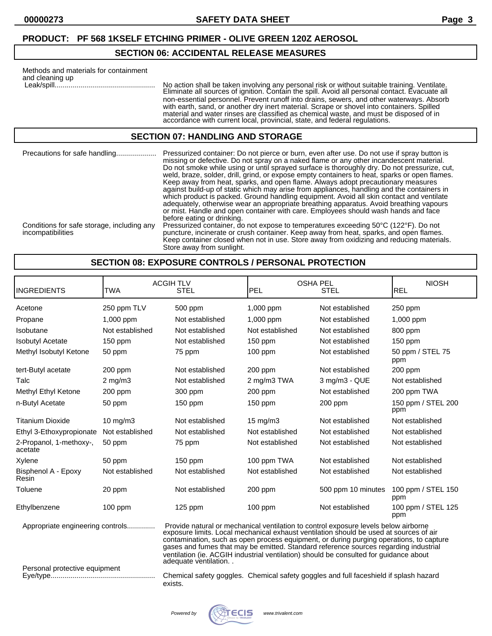#### **SECTION 06: ACCIDENTAL RELEASE MEASURES**

| Methods and materials for containment<br>and cleaning up | No action shall be taken involving any personal risk or without suitable training. Ventilate.<br>Eliminate all sources of ignition. Contain the spill. Avoid all personal contact. Evacuate all<br>non-essential personnel. Prevent runoff into drains, sewers, and other waterways. Absorb<br>with earth, sand, or another dry inert material. Scrape or shovel into containers. Spilled<br>material and water rinses are classified as chemical waste, and must be disposed of in<br>accordance with current local, provincial, state, and federal regulations. |
|----------------------------------------------------------|-------------------------------------------------------------------------------------------------------------------------------------------------------------------------------------------------------------------------------------------------------------------------------------------------------------------------------------------------------------------------------------------------------------------------------------------------------------------------------------------------------------------------------------------------------------------|
|----------------------------------------------------------|-------------------------------------------------------------------------------------------------------------------------------------------------------------------------------------------------------------------------------------------------------------------------------------------------------------------------------------------------------------------------------------------------------------------------------------------------------------------------------------------------------------------------------------------------------------------|

## **SECTION 07: HANDLING AND STORAGE**

Precautions for safe handling.................... Pressurized container: Do not pierce or burn, even after use. Do not use if spray button is missing or defective. Do not spray on a naked flame or any other incandescent material. Do not smoke while using or until sprayed surface is thoroughly dry. Do not pressurize, cut, weld, braze, solder, drill, grind, or expose empty containers to heat, sparks or open flames. Keep away from heat, sparks, and open flame. Always adopt precautionary measures against build-up of static which may arise from appliances, handling and the containers in which product is packed. Ground handling equipment. Avoid all skin contact and ventilate adequately, otherwise wear an appropriate breathing apparatus. Avoid breathing vapours or mist. Handle and open container with care. Employees should wash hands and face before eating or drinking. Conditions for safe storage, including any Pressurized container, do not expose to temperatures exceeding 50°C (122°F). Do not incompatibilities **puncture, incinerate or crush container.** Keep away from heat, sparks, and open flames. Keep container closed when not in use. Store away from oxidizing and reducing materials. Store away from sunlight.

#### **SECTION 08: EXPOSURE CONTROLS / PERSONAL PROTECTION**

| <b>INGREDIENTS</b>                 | TWA             | <b>ACGIHTLV</b><br>STEL                                                                                                                                                                                                                                                                                                                                                                                                                                                        | <b>OSHA PEL</b><br><b>PEL</b><br>STEL |                    | <b>NIOSH</b><br><b>REL</b> |
|------------------------------------|-----------------|--------------------------------------------------------------------------------------------------------------------------------------------------------------------------------------------------------------------------------------------------------------------------------------------------------------------------------------------------------------------------------------------------------------------------------------------------------------------------------|---------------------------------------|--------------------|----------------------------|
|                                    |                 |                                                                                                                                                                                                                                                                                                                                                                                                                                                                                |                                       |                    |                            |
| Acetone                            | 250 ppm TLV     | 500 ppm                                                                                                                                                                                                                                                                                                                                                                                                                                                                        | 1,000 ppm                             | Not established    | 250 ppm                    |
| Propane                            | 1,000 ppm       | Not established                                                                                                                                                                                                                                                                                                                                                                                                                                                                | 1,000 ppm                             | Not established    | 1,000 ppm                  |
| Isobutane                          | Not established | Not established                                                                                                                                                                                                                                                                                                                                                                                                                                                                | Not established                       | Not established    | 800 ppm                    |
| <b>Isobutyl Acetate</b>            | $150$ ppm       | Not established                                                                                                                                                                                                                                                                                                                                                                                                                                                                | $150$ ppm                             | Not established    | $150$ ppm                  |
| Methyl Isobutyl Ketone             | 50 ppm          | 75 ppm                                                                                                                                                                                                                                                                                                                                                                                                                                                                         | $100$ ppm                             | Not established    | 50 ppm / STEL 75<br>ppm    |
| tert-Butyl acetate                 | 200 ppm         | Not established                                                                                                                                                                                                                                                                                                                                                                                                                                                                | 200 ppm                               | Not established    | $200$ ppm                  |
| Talc                               | $2$ mg/m $3$    | Not established                                                                                                                                                                                                                                                                                                                                                                                                                                                                | 2 mg/m3 TWA                           | 3 mg/m3 - QUE      | Not established            |
| Methyl Ethyl Ketone                | $200$ ppm       | 300 ppm                                                                                                                                                                                                                                                                                                                                                                                                                                                                        | $200$ ppm                             | Not established    | 200 ppm TWA                |
| n-Butyl Acetate                    | 50 ppm          | $150$ ppm                                                                                                                                                                                                                                                                                                                                                                                                                                                                      | $150$ ppm                             | 200 ppm            | 150 ppm / STEL 200<br>ppm  |
| <b>Titanium Dioxide</b>            | 10 mg/m $3$     | Not established                                                                                                                                                                                                                                                                                                                                                                                                                                                                | $15 \text{ mg/m}$                     | Not established    | Not established            |
| Ethyl 3-Ethoxypropionate           | Not established | Not established                                                                                                                                                                                                                                                                                                                                                                                                                                                                | Not established                       | Not established    | Not established            |
| 2-Propanol, 1-methoxy-,<br>acetate | 50 ppm          | 75 ppm                                                                                                                                                                                                                                                                                                                                                                                                                                                                         | Not established                       | Not established    | Not established            |
| Xylene                             | 50 ppm          | $150$ ppm                                                                                                                                                                                                                                                                                                                                                                                                                                                                      | 100 ppm TWA                           | Not established    | Not established            |
| Bisphenol A - Epoxy<br>Resin       | Not established | Not established                                                                                                                                                                                                                                                                                                                                                                                                                                                                | Not established                       | Not established    | Not established            |
| Toluene                            | 20 ppm          | Not established                                                                                                                                                                                                                                                                                                                                                                                                                                                                | $200$ ppm                             | 500 ppm 10 minutes | 100 ppm / STEL 150<br>ppm  |
| Ethylbenzene                       | $100$ ppm       | $125$ ppm                                                                                                                                                                                                                                                                                                                                                                                                                                                                      | $100$ ppm                             | Not established    | 100 ppm / STEL 125<br>ppm  |
| Appropriate engineering controls   |                 | Provide natural or mechanical ventilation to control exposure levels below airborne exposure limits. Local mechanical exhaust ventilation should be used at sources of air<br>contamination, such as open process equipment, or during purging operations, to capture<br>gases and fumes that may be emitted. Standard reference sources regarding industrial<br>ventilation (ie. ACGIH industrial ventilation) should be consulted for guidance about<br>adequate ventilation |                                       |                    |                            |

Personal protective equipment

Chemical safety goggles. Chemical safety goggles and full faceshield if splash hazard exists.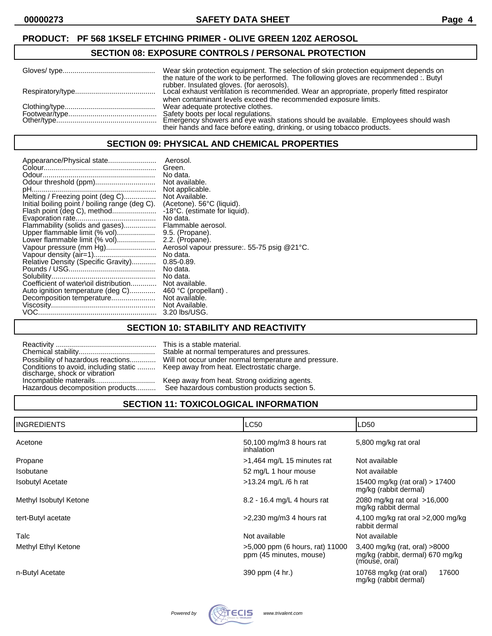#### **SECTION 08: EXPOSURE CONTROLS / PERSONAL PROTECTION**

| Wear skin protection equipment. The selection of skin protection equipment depends on<br>the nature of the work to be performed. The following gloves are recommended :. Butyl |
|--------------------------------------------------------------------------------------------------------------------------------------------------------------------------------|
| rubber. Insulated gloves. (for aerosols).                                                                                                                                      |
| when contaminant levels exceed the recommended exposure limits.<br>Wear adequate protective clothes.                                                                           |
| Safety boots per local regulations.                                                                                                                                            |
| Emergency showers and eye wash stations should be available. Employees should wash<br>their hands and face before eating, drinking, or using tobacco products.                 |

## **SECTION 09: PHYSICAL AND CHEMICAL PROPERTIES**

| Appearance/Physical state                                      | Aerosol.<br>Green.                         |
|----------------------------------------------------------------|--------------------------------------------|
|                                                                | No data.                                   |
|                                                                | Not available.                             |
|                                                                | Not applicable.                            |
| Melting / Freezing point (deg C)                               | Not Available.                             |
| Initial boiling point / boiling range (deg C).                 | (Acetone). 56°C (liquid).                  |
| Flash point (deg C), method                                    | -18°C. (estimate for liquid).              |
|                                                                | No data.                                   |
| Flammability (solids and gases)                                | Flammable aerosol.                         |
| Upper flammable limit (% vol)                                  | 9.5. (Propane).                            |
| Lower flammable limit (% vol)                                  | 2.2. (Propane).                            |
| Vapour pressure (mm Hg)                                        | Aerosol vapour pressure: 55-75 psig @21°C. |
|                                                                | No data.                                   |
| Relative Density (Specific Gravity)                            | $0.85 - 0.89$ .                            |
|                                                                | No data.                                   |
|                                                                | No data.                                   |
| Coefficient of water\oil distribution                          | Not available.                             |
| Auto ignition temperature (deg C)<br>Decomposition temperature | 460 °C (propellant).<br>Not available.     |
|                                                                | Not Available.                             |
|                                                                | 3.20 lbs/USG.                              |
|                                                                |                                            |

## **SECTION 10: STABILITY AND REACTIVITY**

This is a stable material. Stable at normal temperatures and pressures. Will not occur under normal temperature and pressure. Keep away from heat. Electrostatic charge.

Keep away from heat. Strong oxidizing agents. See hazardous combustion products section 5.

# **SECTION 11: TOXICOLOGICAL INFORMATION**

| <b>I</b> INGREDIENTS    | <b>LC50</b>                                                | LD50                                                                                 |
|-------------------------|------------------------------------------------------------|--------------------------------------------------------------------------------------|
| Acetone                 | 50,100 mg/m3 8 hours rat<br>inhalation                     | 5,800 mg/kg rat oral                                                                 |
| Propane                 | >1,464 mg/L 15 minutes rat                                 | Not available                                                                        |
| <b>Isobutane</b>        | 52 mg/L 1 hour mouse                                       | Not available                                                                        |
| <b>Isobutyl Acetate</b> | $>13.24$ mg/L /6 h rat                                     | 15400 mg/kg (rat oral) > 17400<br>mg/kg (rabbit dermal)                              |
| Methyl Isobutyl Ketone  | 8.2 - 16.4 mg/L 4 hours rat                                | 2080 mg/kg rat oral >16,000<br>mg/kg rabbit dermal                                   |
| tert-Butyl acetate      | $>2,230$ mg/m3 4 hours rat                                 | 4,100 mg/kg rat oral $>2,000$ mg/kg<br>rabbit dermal                                 |
| Talc                    | Not available                                              | Not available                                                                        |
| Methyl Ethyl Ketone     | >5,000 ppm (6 hours, rat) 11000<br>ppm (45 minutes, mouse) | 3,400 mg/kg (rat, oral) $>8000$<br>mg/kg (rabbit, dermal) 670 mg/kg<br>(mouse, oral) |
| n-Butyl Acetate         | 390 ppm (4 hr.)                                            | 17600<br>10768 mg/kg (rat oral)<br>mg/kg (rabbit dermal)                             |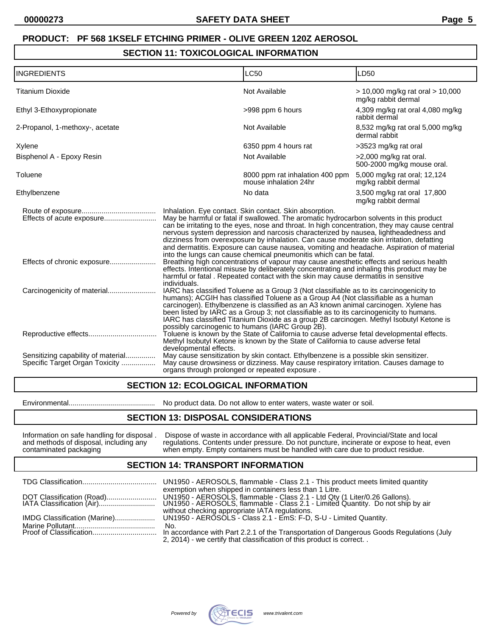# **SECTION 11: TOXICOLOGICAL INFORMATION**

| <b>INGREDIENTS</b>                                                   |                                                                                                                                                                                                                                                                                                                                                                                                                                                                                                                                                                                                         | LC50                                                                                                                                                                           | LD50                                                    |
|----------------------------------------------------------------------|---------------------------------------------------------------------------------------------------------------------------------------------------------------------------------------------------------------------------------------------------------------------------------------------------------------------------------------------------------------------------------------------------------------------------------------------------------------------------------------------------------------------------------------------------------------------------------------------------------|--------------------------------------------------------------------------------------------------------------------------------------------------------------------------------|---------------------------------------------------------|
| <b>Titanium Dioxide</b>                                              |                                                                                                                                                                                                                                                                                                                                                                                                                                                                                                                                                                                                         | Not Available                                                                                                                                                                  | > 10,000 mg/kg rat oral > 10,000<br>mg/kg rabbit dermal |
| Ethyl 3-Ethoxypropionate                                             |                                                                                                                                                                                                                                                                                                                                                                                                                                                                                                                                                                                                         | >998 ppm 6 hours                                                                                                                                                               | 4,309 mg/kg rat oral 4,080 mg/kg<br>rabbit dermal       |
| 2-Propanol, 1-methoxy-, acetate                                      |                                                                                                                                                                                                                                                                                                                                                                                                                                                                                                                                                                                                         | Not Available                                                                                                                                                                  | 8,532 mg/kg rat oral 5,000 mg/kg<br>dermal rabbit       |
| Xylene                                                               |                                                                                                                                                                                                                                                                                                                                                                                                                                                                                                                                                                                                         | 6350 ppm 4 hours rat                                                                                                                                                           | >3523 mg/kg rat oral                                    |
| Bisphenol A - Epoxy Resin                                            |                                                                                                                                                                                                                                                                                                                                                                                                                                                                                                                                                                                                         | Not Available                                                                                                                                                                  | >2,000 mg/kg rat oral.<br>500-2000 mg/kg mouse oral.    |
| Toluene                                                              |                                                                                                                                                                                                                                                                                                                                                                                                                                                                                                                                                                                                         | 8000 ppm rat inhalation 400 ppm<br>mouse inhalation 24hr                                                                                                                       | 5,000 mg/kg rat oral; 12,124<br>mg/kg rabbit dermal     |
| Ethylbenzene                                                         |                                                                                                                                                                                                                                                                                                                                                                                                                                                                                                                                                                                                         | No data                                                                                                                                                                        | 3,500 mg/kg rat oral 17,800<br>mg/kg rabbit dermal      |
| Effects of acute exposure                                            | Inhalation. Eye contact. Skin contact. Skin absorption.<br>May be harmful or fatal if swallowed. The aromatic hydrocarbon solvents in this product<br>can be irritating to the eyes, nose and throat. In high concentration, they may cause central<br>nervous system depression and narcosis characterized by nausea, lightheadedness and<br>dizziness from overexposure by inhalation. Can cause moderate skin irritation, defatting<br>and dermatitis. Exposure can cause nausea, vomiting and headache. Aspiration of material<br>into the lungs can cause chemical pneumonitis which can be fatal. |                                                                                                                                                                                |                                                         |
| Effects of chronic exposure                                          | Breathing high concentrations of vapour may cause anesthetic effects and serious health<br>effects. Intentional misuse by deliberately concentrating and inhaling this product may be<br>harmful or fatal. Repeated contact with the skin may cause dermatitis in sensitive<br>individuals.                                                                                                                                                                                                                                                                                                             |                                                                                                                                                                                |                                                         |
|                                                                      | IARC has classified Toluene as a Group 3 (Not classifiable as to its carcinogenicity to<br>humans); ACGIH has classified Toluene as a Group A4 (Not classifiable as a human<br>carcinogen). Ethylbenzene is classified as an A3 known animal carcinogen. Xylene has<br>been listed by IARC as a Group 3; not classifiable as to its carcinogenicity to humans.<br>IARC has classified Titanium Dioxide as a group 2B carcinogen. Methyl Isobutyl Ketone is<br>possibly carcinogenic to humans (IARC Group 2B).                                                                                          |                                                                                                                                                                                |                                                         |
|                                                                      | developmental effects.                                                                                                                                                                                                                                                                                                                                                                                                                                                                                                                                                                                  | Toluene is known by the State of California to cause adverse fetal developmental effects.<br>Methyl Isobutyl Ketone is known by the State of California to cause adverse fetal |                                                         |
| Sensitizing capability of material<br>Specific Target Organ Toxicity | organs through prolonged or repeated exposure.                                                                                                                                                                                                                                                                                                                                                                                                                                                                                                                                                          | May cause sensitization by skin contact. Ethylbenzene is a possible skin sensitizer.<br>May cause drowsiness or dizziness. May cause respiratory irritation. Causes damage to  |                                                         |

#### **SECTION 12: ECOLOGICAL INFORMATION**

Environmental........................................... No product data. Do not allow to enter waters, waste water or soil.

#### **SECTION 13: DISPOSAL CONSIDERATIONS**

Information on safe handling for disposal . Dispose of waste in accordance with all applicable Federal, Provincial/State and local and methods of disposal, including any regulations. Contents under pressure. Do not punctur and methods of disposal, including any regulations. Contents under pressure. Do not puncture, incinerate or expose to heat, even contaminated packaging when empty. Empty containers must be handled with care due to product when empty. Empty containers must be handled with care due to product residue.

#### **SECTION 14: TRANSPORT INFORMATION**

|                              | UN1950 - AEROSOLS, flammable - Class 2.1 - This product meets limited quantity                                      |
|------------------------------|---------------------------------------------------------------------------------------------------------------------|
|                              | exemption when shipped in containers less than 1 Litre.                                                             |
|                              |                                                                                                                     |
| IMDG Classification (Marine) | without checking appropriate IATA regulations.<br>UN1950 - AEROSOLS - Class 2.1 - EmS: F-D, S-U - Limited Quantity. |
|                              | No.<br>In accordance with Part 2.2.1 of the Transportation of Dangerous Goods Regulations (July                     |
|                              | 2, 2014) - we certify that classification of this product is correct                                                |